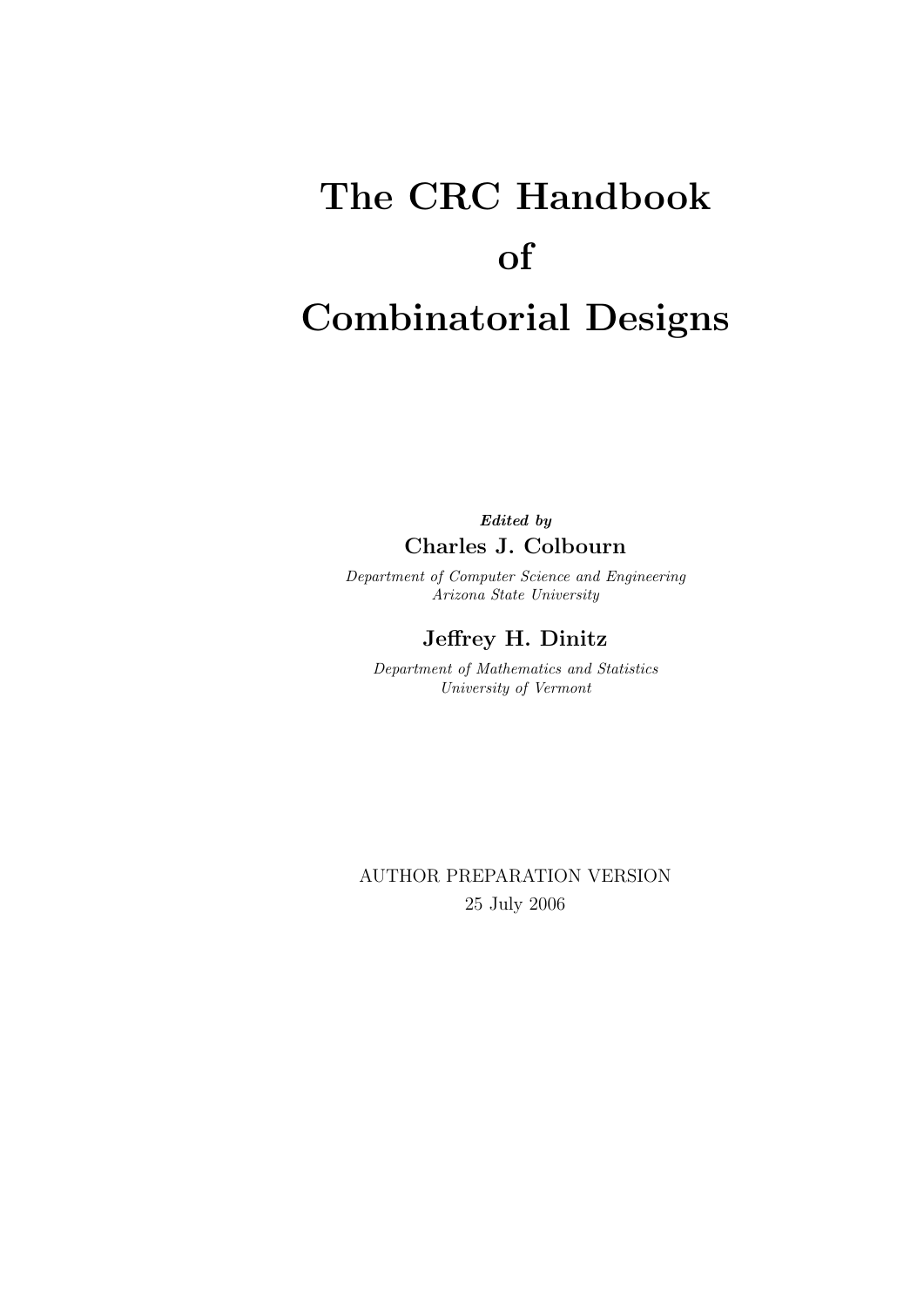# The CRC Handbook of Combinatorial Designs

## Edited by Charles J. Colbourn

Department of Computer Science and Engineering Arizona State University

## Jeffrey H. Dinitz

Department of Mathematics and Statistics University of Vermont

AUTHOR PREPARATION VERSION 25 July 2006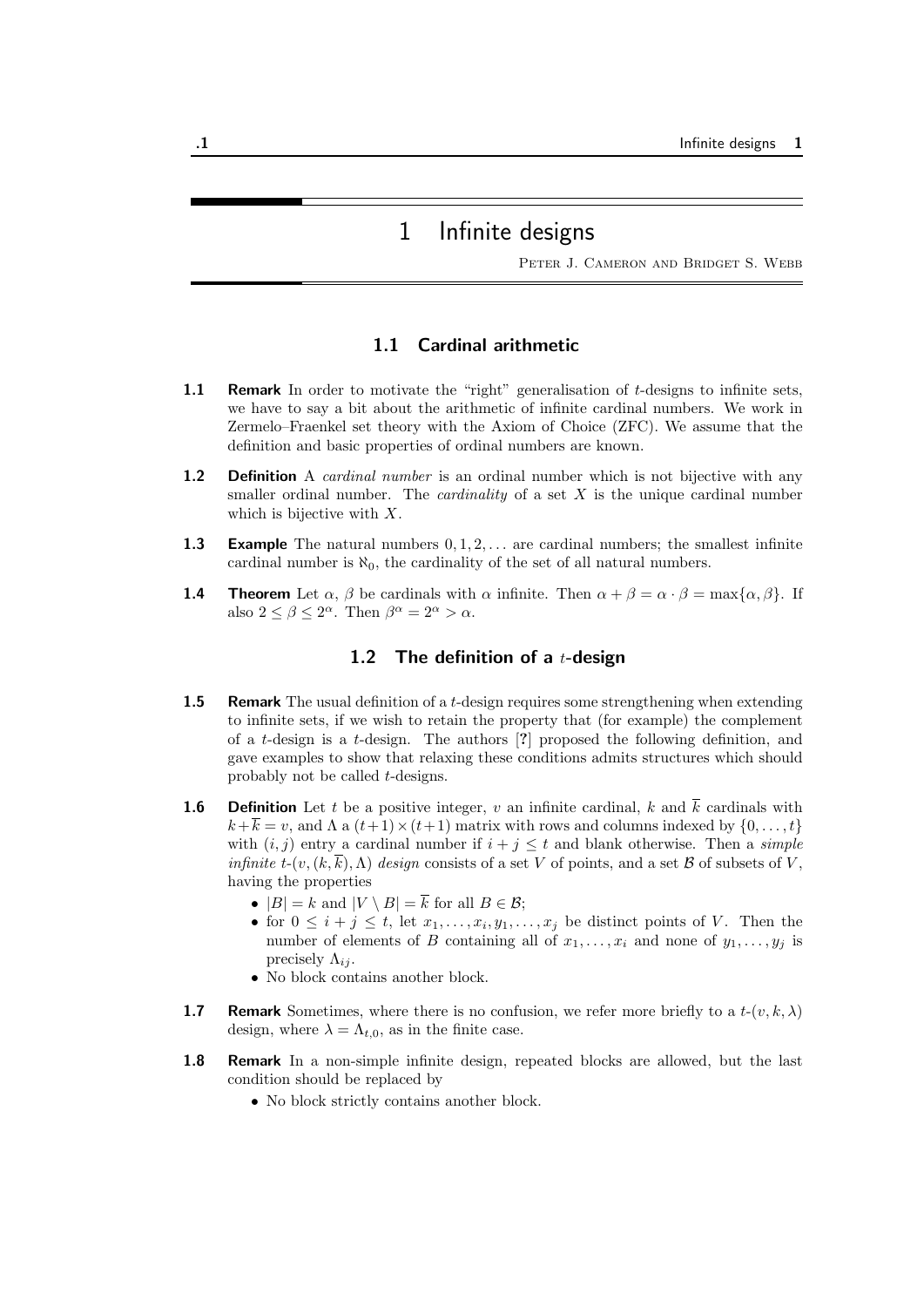### 1 Infinite designs

PETER J. CAMERON AND BRIDGET S. WEBB

#### 1.1 Cardinal arithmetic

- **1.1 Remark** In order to motivate the "right" generalisation of  $t$ -designs to infinite sets, we have to say a bit about the arithmetic of infinite cardinal numbers. We work in Zermelo–Fraenkel set theory with the Axiom of Choice (ZFC). We assume that the definition and basic properties of ordinal numbers are known.
- **1.2** Definition A *cardinal number* is an ordinal number which is not bijective with any smaller ordinal number. The *cardinality* of a set  $X$  is the unique cardinal number which is bijective with  $X$ .
- **1.3** Example The natural numbers  $0, 1, 2, \ldots$  are cardinal numbers; the smallest infinite cardinal number is  $\aleph_0$ , the cardinality of the set of all natural numbers.
- **1.4** Theorem Let  $\alpha$ ,  $\beta$  be cardinals with  $\alpha$  infinite. Then  $\alpha + \beta = \alpha \cdot \beta = \max{\{\alpha, \beta\}}$ . If also  $2 \leq \beta \leq 2^{\alpha}$ . Then  $\beta^{\alpha} = 2^{\alpha} > \alpha$ .

#### 1.2 The definition of a  $t$ -design

- **1.5** Remark The usual definition of a  $t$ -design requires some strengthening when extending to infinite sets, if we wish to retain the property that (for example) the complement of a t-design is a t-design. The authors  $\lceil ? \rceil$  proposed the following definition, and gave examples to show that relaxing these conditions admits structures which should probably not be called t-designs.
- **1.6 Definition** Let t be a positive integer, v an infinite cardinal, k and  $\overline{k}$  cardinals with  $k+\overline{k} = v$ , and  $\Lambda$  a  $(t+1) \times (t+1)$  matrix with rows and columns indexed by  $\{0, \ldots, t\}$ with  $(i, j)$  entry a cardinal number if  $i + j \leq t$  and blank otherwise. Then a *simple infinite t-*( $v, (k, \overline{k}), \Lambda$ ) *design* consists of a set V of points, and a set B of subsets of V, having the properties
	- $|B| = k$  and  $|V \setminus B| = \overline{k}$  for all  $B \in \mathcal{B}$ ;
	- for  $0 \leq i + j \leq t$ , let  $x_1, \ldots, x_i, y_1, \ldots, x_j$  be distinct points of V. Then the number of elements of B containing all of  $x_1, \ldots, x_i$  and none of  $y_1, \ldots, y_i$  is precisely  $\Lambda_{ii}$ .
	- No block contains another block.
- **1.7 Remark** Sometimes, where there is no confusion, we refer more briefly to a  $t-(v, k, \lambda)$ design, where  $\lambda = \Lambda_{t,0}$ , as in the finite case.
- 1.8 Remark In a non-simple infinite design, repeated blocks are allowed, but the last condition should be replaced by
	- No block strictly contains another block.